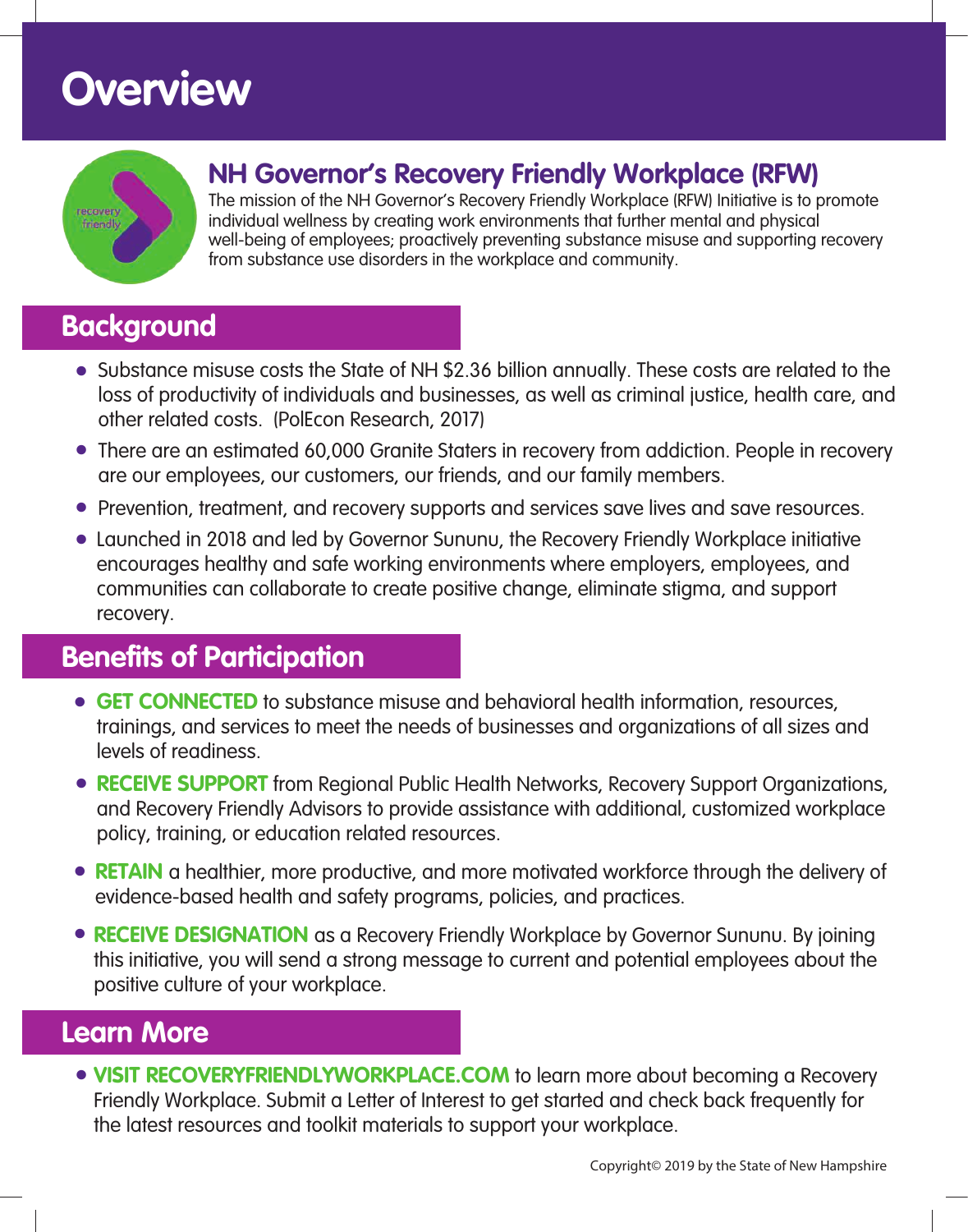# **Overview**



### **NH Governor's Recovery Friendly Workplace (RFW)**

The mission of the NH Governor's Recovery Friendly Workplace (RFW) Initiative is to promote individual wellness by creating work environments that further mental and physical well-being of employees; proactively preventing substance misuse and supporting recovery from substance use disorders in the workplace and community.

### **Background**

- Substance misuse costs the State of NH \$2.36 billion annually. These costs are related to the loss of productivity of individuals and businesses, as well as criminal justice, health care, and other related costs. (PolEcon Research, 2017)
- There are an estimated 60,000 Granite Staters in recovery from addiction. People in recovery are our employees, our customers, our friends, and our family members.
- Prevention, treatment, and recovery supports and services save lives and save resources.
- Launched in 2018 and led by Governor Sununu, the Recovery Friendly Workplace initiative encourages healthy and safe working environments where employers, employees, and communities can collaborate to create positive change, eliminate stigma, and support recovery.

### **Benefits of Participation**

- **GET CONNECTED** to substance misuse and behavioral health information, resources, trainings, and services to meet the needs of businesses and organizations of all sizes and levels of readiness.
- **RECEIVE SUPPORT** from Regional Public Health Networks, Recovery Support Organizations, and Recovery Friendly Advisors to provide assistance with additional, customized workplace policy, training, or education related resources.
- **RETAIN** a healthier, more productive, and more motivated workforce through the delivery of evidence-based health and safety programs, policies, and practices.
- **RECEIVE DESIGNATION** as a Recovery Friendly Workplace by Governor Sununu. By joining this initiative, you will send a strong message to current and potential employees about the positive culture of your workplace.

### **Learn More**

**• VISIT RECOVERYFRIENDLYWORKPLACE.COM** to learn more about becoming a Recovery Friendly Workplace. Submit a Letter of Interest to get started and check back frequently for the latest resources and toolkit materials to support your workplace.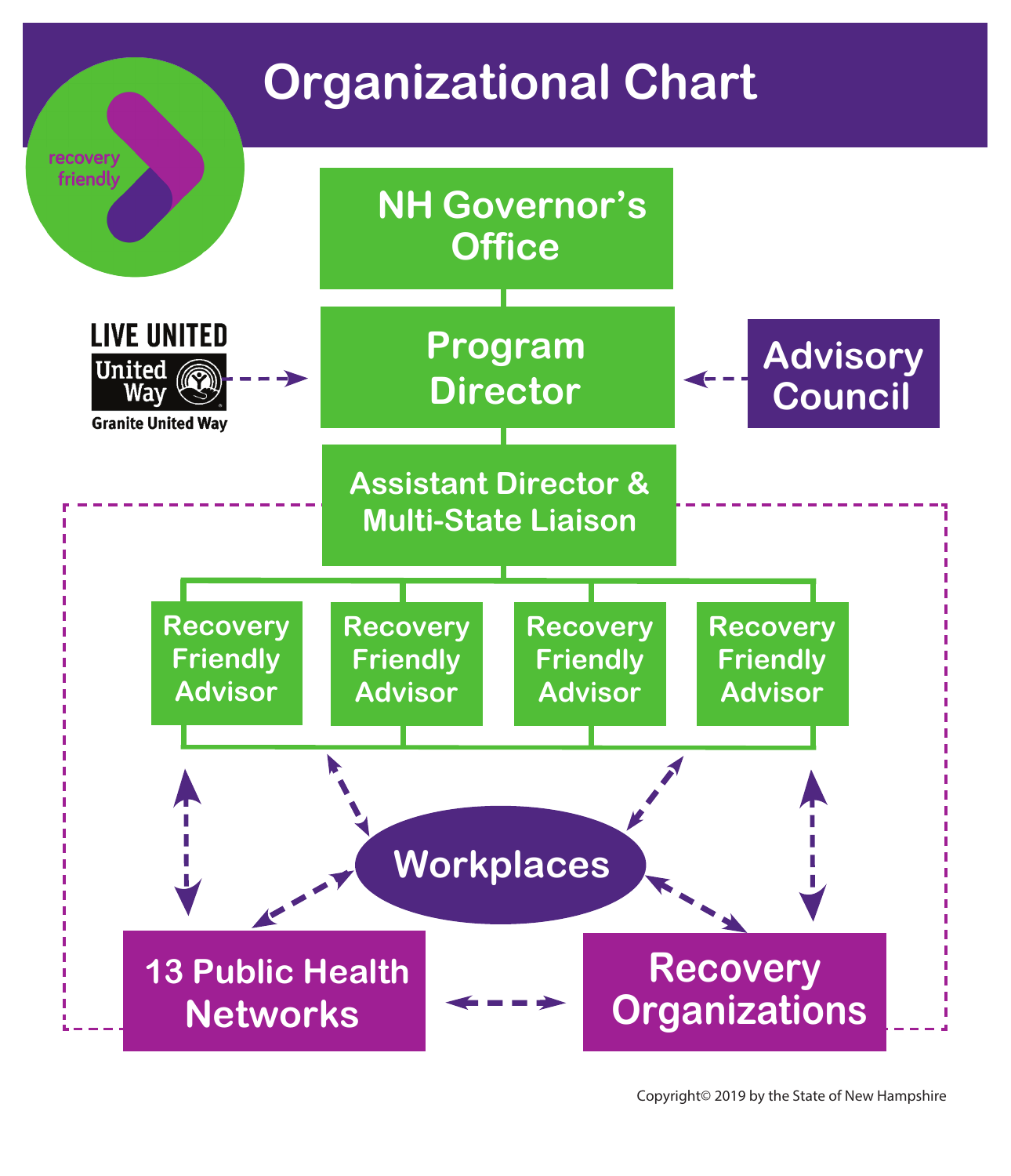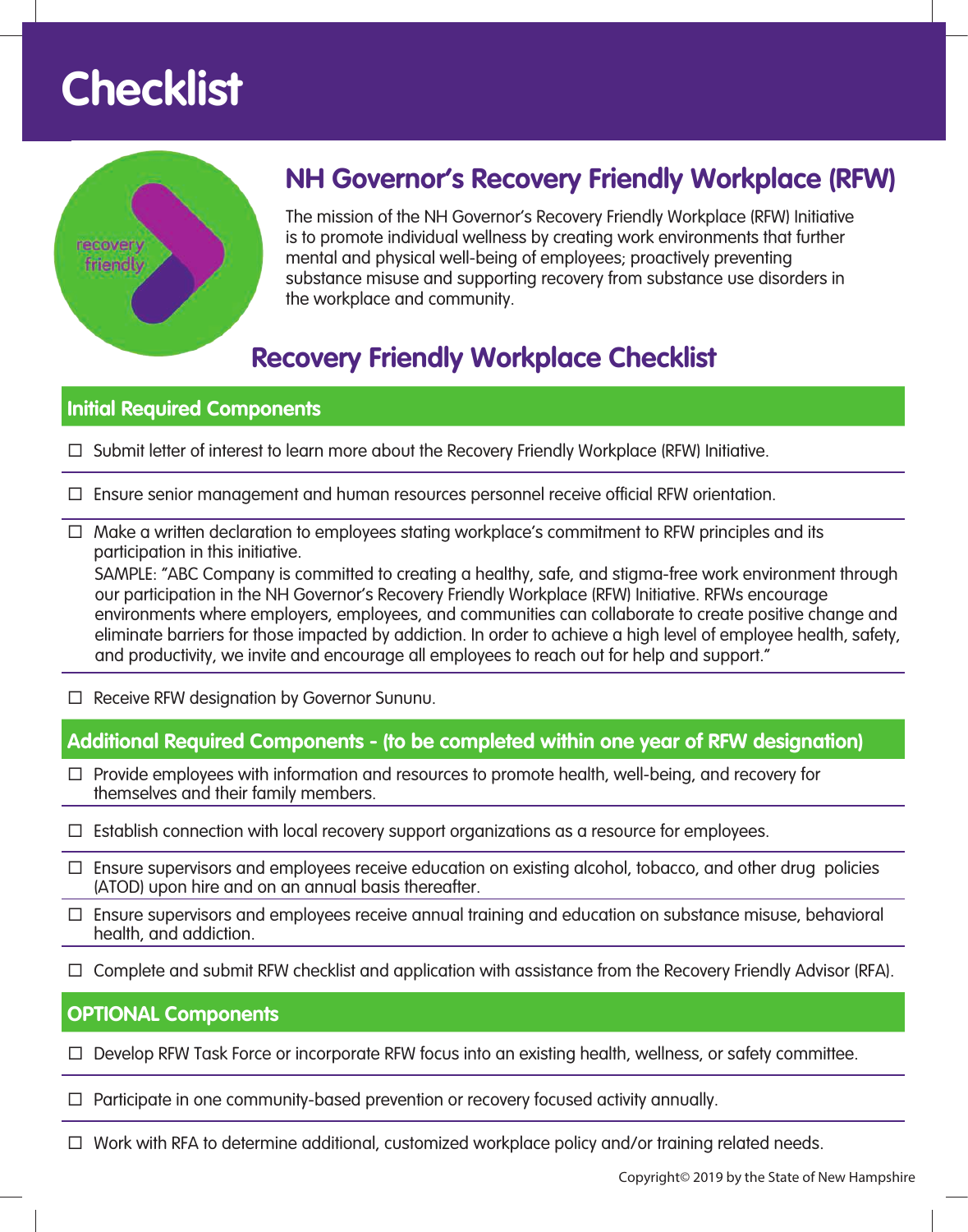# **Checklist**



### **NH Governor's Recovery Friendly Workplace (RFW)**

The mission of the NH Governor's Recovery Friendly Workplace (RFW) Initiative is to promote individual wellness by creating work environments that further mental and physical well-being of employees; proactively preventing substance misuse and supporting recovery from substance use disorders in the workplace and community.

### **Recovery Friendly Workplace Checklist**

#### **Initial Required Components**

- $\Box$  Submit letter of interest to learn more about the Recovery Friendly Workplace (RFW) Initiative.
- $\Box$  Ensure senior management and human resources personnel receive official RFW orientation.
- $\Box$  Make a written declaration to employees stating workplace's commitment to RFW principles and its participation in this initiative.

SAMPLE: "ABC Company is committed to creating a healthy, safe, and stigma-free work environment through our participation in the NH Governor's Recovery Friendly Workplace (RFW) Initiative. RFWs encourage environments where employers, employees, and communities can collaborate to create positive change and eliminate barriers for those impacted by addiction. In order to achieve a high level of employee health, safety, and productivity, we invite and encourage all employees to reach out for help and support."

□ Receive RFW designation by Governor Sununu.

#### **Additional Required Components - (to be completed within one year of RFW designation)**

- $\Box$  Provide employees with information and resources to promote health, well-being, and recovery for themselves and their family members.
- $\Box$  Establish connection with local recovery support organizations as a resource for employees.
- $\Box$  Ensure supervisors and employees receive education on existing alcohol, tobacco, and other drug policies (ATOD) upon hire and on an annual basis thereafter.
- $\Box$  Ensure supervisors and employees receive annual training and education on substance misuse, behavioral health, and addiction.
- $\Box$  Complete and submit RFW checklist and application with assistance from the Recovery Friendly Advisor (RFA).

#### **OPTIONAL Components**

 $\Box$  Develop RFW Task Force or incorporate RFW focus into an existing health, wellness, or safety committee.

- $\Box$  Participate in one community-based prevention or recovery focused activity annually.
- $\Box$  Work with RFA to determine additional, customized workplace policy and/or training related needs.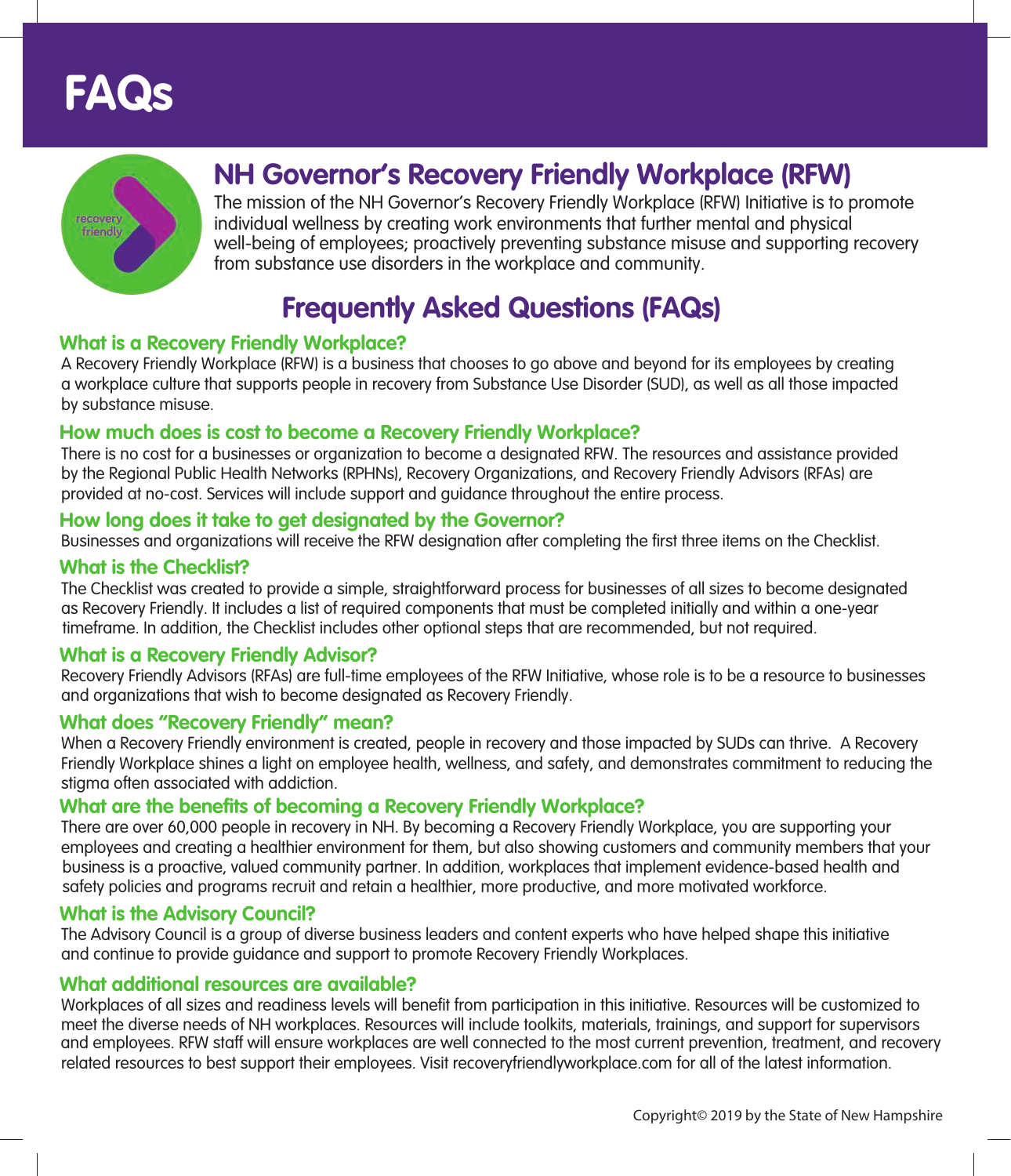



### **NH Governor's Recovery Friendly Workplace (RFW)**

The mission of the NH Governor's Recovery Friendly Workplace (RFW) Initiative is to promote individual wellness by creating work environments that further mental and physical well-being of employees; proactively preventing substance misuse and supporting recovery from substance use disorders in the workplace and community.

### **Frequently Asked Questions (FAQs)**

#### **What is a Recovery Friendly Workplace?**

A Recovery Friendly Workplace (RFW) is a business that chooses to go above and beyond for its employees by creating a workplace culture that supports people in recovery from Substance Use Disorder (SUD), as well as all those impacted by substance misuse.

#### **How much does is cost to become a Recovery Friendly Workplace?**

There is no cost for a businesses or organization to become a designated RFW. The resources and assistance provided by the Regional Public Health Networks (RPHNs), Recovery Organizations, and Recovery Friendly Advisors (RFAs) are provided at no-cost. Services will include support and guidance throughout the entire process.

#### **How long does it take to get designated by the Governor?**

Businesses and organizations will receive the RFW designation after completing the first three items on the Checklist.

#### **What is the Checklist?**

The Checklist was created to provide a simple, straightforward process for businesses of all sizes to become designated as Recovery Friendly. It includes a list of required components that must be completed initially and within a one-year timeframe. In addition, the Checklist includes other optional steps that are recommended, but not required.

#### **What is a Recovery Friendly Advisor?**

Recovery Friendly Advisors (RFAs) are full-time employees of the RFW Initiative, whose role is to be a resource to businesses and organizations that wish to become designated as Recovery Friendly.

#### **What does "Recovery Friendly" mean?**

When a Recovery Friendly environment is created, people in recovery and those impacted by SUDs can thrive. A Recovery Friendly Workplace shines a light on employee health, wellness, and safety, and demonstrates commitment to reducing the stigma often associated with addiction.

#### **What are the benefits of becoming a Recovery Friendly Workplace?**

There are over 60,000 people in recovery in NH. By becoming a Recovery Friendly Workplace, you are supporting your employees and creating a healthier environment for them, but also showing customers and community members that your business is a proactive, valued community partner. In addition, workplaces that implement evidence-based health and safety policies and programs recruit and retain a healthier, more productive, and more motivated workforce.

#### **What is the Advisory Council?**

The Advisory Council is a group of diverse business leaders and content experts who have helped shape this initiative and continue to provide guidance and support to promote Recovery Friendly Workplaces.

#### **What additional resources are available?**

Workplaces of all sizes and readiness levels will benefit from participation in this initiative. Resources will be customized to meet the diverse needs of NH workplaces. Resources will include toolkits, materials, trainings, and support for supervisors and employees. RFW staff will ensure workplaces are well connected to the most current prevention, treatment, and recovery related resources to best support their employees. Visit recoveryfriendlyworkplace.com for all of the latest information.